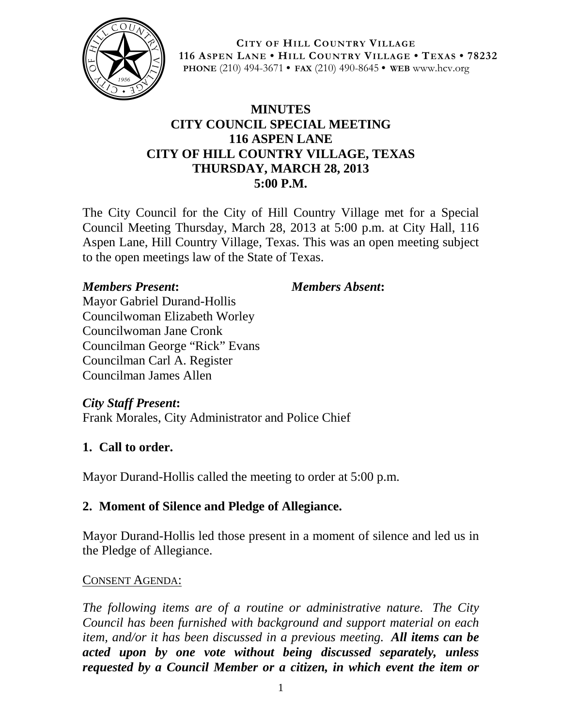

**CITY OF HILL COUNTRY VILLAGE 116 ASPEN LANE • HILL COUNTRY VILLAGE • TEXAS • 78232 PHONE** (210) 494-3671 **• FAX** (210) 490-8645 **• WEB** www.hcv.org

## **MINUTES CITY COUNCIL SPECIAL MEETING 116 ASPEN LANE CITY OF HILL COUNTRY VILLAGE, TEXAS THURSDAY, MARCH 28, 2013 5:00 P.M.**

The City Council for the City of Hill Country Village met for a Special Council Meeting Thursday, March 28, 2013 at 5:00 p.m. at City Hall, 116 Aspen Lane, Hill Country Village, Texas. This was an open meeting subject to the open meetings law of the State of Texas.

### *Members Present***:** *Members Absent***:**

Mayor Gabriel Durand-Hollis Councilwoman Elizabeth Worley Councilwoman Jane Cronk Councilman George "Rick" Evans Councilman Carl A. Register Councilman James Allen

*City Staff Present***:**

Frank Morales, City Administrator and Police Chief

## **1. Call to order.**

Mayor Durand-Hollis called the meeting to order at 5:00 p.m.

# **2. Moment of Silence and Pledge of Allegiance.**

Mayor Durand-Hollis led those present in a moment of silence and led us in the Pledge of Allegiance.

#### CONSENT AGENDA:

*The following items are of a routine or administrative nature. The City Council has been furnished with background and support material on each item, and/or it has been discussed in a previous meeting. All items can be acted upon by one vote without being discussed separately, unless requested by a Council Member or a citizen, in which event the item or*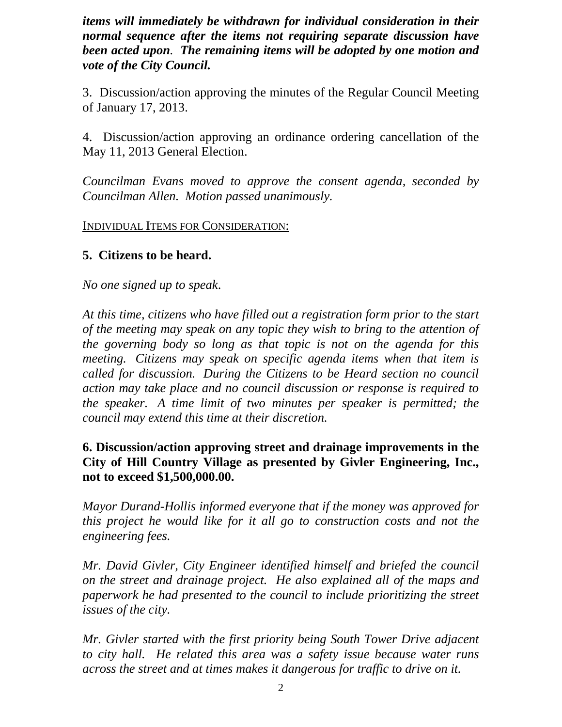*items will immediately be withdrawn for individual consideration in their normal sequence after the items not requiring separate discussion have been acted upon. The remaining items will be adopted by one motion and vote of the City Council.*

3. Discussion/action approving the minutes of the Regular Council Meeting of January 17, 2013.

4. Discussion/action approving an ordinance ordering cancellation of the May 11, 2013 General Election.

*Councilman Evans moved to approve the consent agenda, seconded by Councilman Allen. Motion passed unanimously.*

INDIVIDUAL ITEMS FOR CONSIDERATION:

## **5. Citizens to be heard.**

*No one signed up to speak*.

*At this time, citizens who have filled out a registration form prior to the start of the meeting may speak on any topic they wish to bring to the attention of the governing body so long as that topic is not on the agenda for this meeting. Citizens may speak on specific agenda items when that item is called for discussion. During the Citizens to be Heard section no council action may take place and no council discussion or response is required to the speaker. A time limit of two minutes per speaker is permitted; the council may extend this time at their discretion.*

### **6. Discussion/action approving street and drainage improvements in the City of Hill Country Village as presented by Givler Engineering, Inc., not to exceed \$1,500,000.00.**

*Mayor Durand-Hollis informed everyone that if the money was approved for this project he would like for it all go to construction costs and not the engineering fees.*

*Mr. David Givler, City Engineer identified himself and briefed the council on the street and drainage project. He also explained all of the maps and paperwork he had presented to the council to include prioritizing the street issues of the city.*

*Mr. Givler started with the first priority being South Tower Drive adjacent to city hall. He related this area was a safety issue because water runs across the street and at times makes it dangerous for traffic to drive on it.*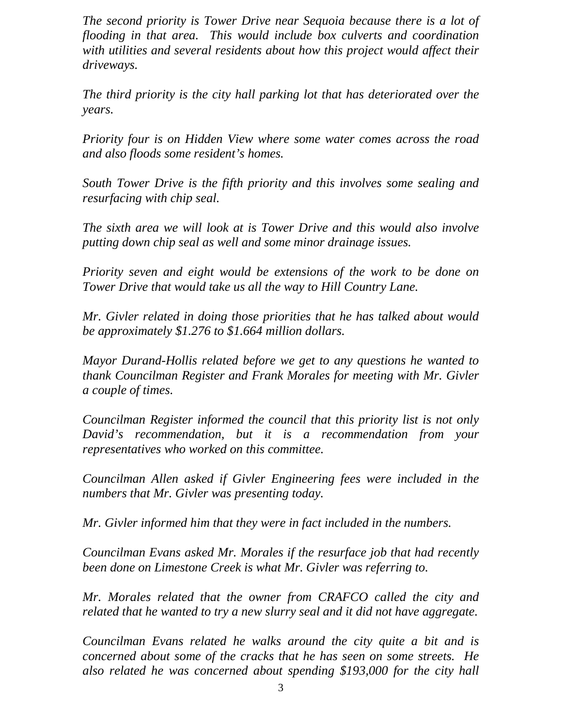*The second priority is Tower Drive near Sequoia because there is a lot of flooding in that area. This would include box culverts and coordination with utilities and several residents about how this project would affect their driveways.*

*The third priority is the city hall parking lot that has deteriorated over the years.*

*Priority four is on Hidden View where some water comes across the road and also floods some resident's homes.*

*South Tower Drive is the fifth priority and this involves some sealing and resurfacing with chip seal.*

*The sixth area we will look at is Tower Drive and this would also involve putting down chip seal as well and some minor drainage issues.*

*Priority seven and eight would be extensions of the work to be done on Tower Drive that would take us all the way to Hill Country Lane.*

*Mr. Givler related in doing those priorities that he has talked about would be approximately \$1.276 to \$1.664 million dollars.*

*Mayor Durand-Hollis related before we get to any questions he wanted to thank Councilman Register and Frank Morales for meeting with Mr. Givler a couple of times.*

*Councilman Register informed the council that this priority list is not only David's recommendation, but it is a recommendation from your representatives who worked on this committee.*

*Councilman Allen asked if Givler Engineering fees were included in the numbers that Mr. Givler was presenting today.*

*Mr. Givler informed him that they were in fact included in the numbers.*

*Councilman Evans asked Mr. Morales if the resurface job that had recently been done on Limestone Creek is what Mr. Givler was referring to.*

*Mr. Morales related that the owner from CRAFCO called the city and related that he wanted to try a new slurry seal and it did not have aggregate.*

*Councilman Evans related he walks around the city quite a bit and is concerned about some of the cracks that he has seen on some streets. He also related he was concerned about spending \$193,000 for the city hall*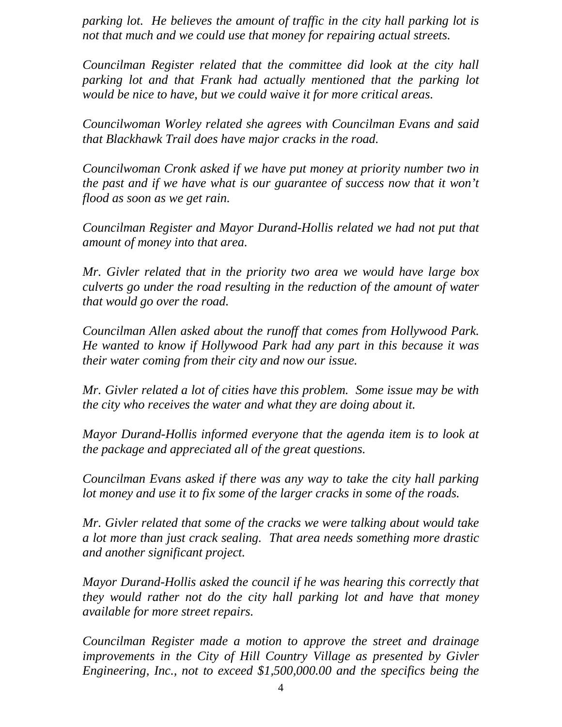*parking lot. He believes the amount of traffic in the city hall parking lot is not that much and we could use that money for repairing actual streets.*

*Councilman Register related that the committee did look at the city hall parking lot and that Frank had actually mentioned that the parking lot would be nice to have, but we could waive it for more critical areas.*

*Councilwoman Worley related she agrees with Councilman Evans and said that Blackhawk Trail does have major cracks in the road.*

*Councilwoman Cronk asked if we have put money at priority number two in the past and if we have what is our guarantee of success now that it won't flood as soon as we get rain.*

*Councilman Register and Mayor Durand-Hollis related we had not put that amount of money into that area.*

*Mr. Givler related that in the priority two area we would have large box culverts go under the road resulting in the reduction of the amount of water that would go over the road.*

*Councilman Allen asked about the runoff that comes from Hollywood Park. He wanted to know if Hollywood Park had any part in this because it was their water coming from their city and now our issue.*

*Mr. Givler related a lot of cities have this problem. Some issue may be with the city who receives the water and what they are doing about it.*

*Mayor Durand-Hollis informed everyone that the agenda item is to look at the package and appreciated all of the great questions.*

*Councilman Evans asked if there was any way to take the city hall parking lot money and use it to fix some of the larger cracks in some of the roads.*

*Mr. Givler related that some of the cracks we were talking about would take a lot more than just crack sealing. That area needs something more drastic and another significant project.*

*Mayor Durand-Hollis asked the council if he was hearing this correctly that they would rather not do the city hall parking lot and have that money available for more street repairs.*

*Councilman Register made a motion to approve the street and drainage improvements in the City of Hill Country Village as presented by Givler Engineering, Inc., not to exceed \$1,500,000.00 and the specifics being the*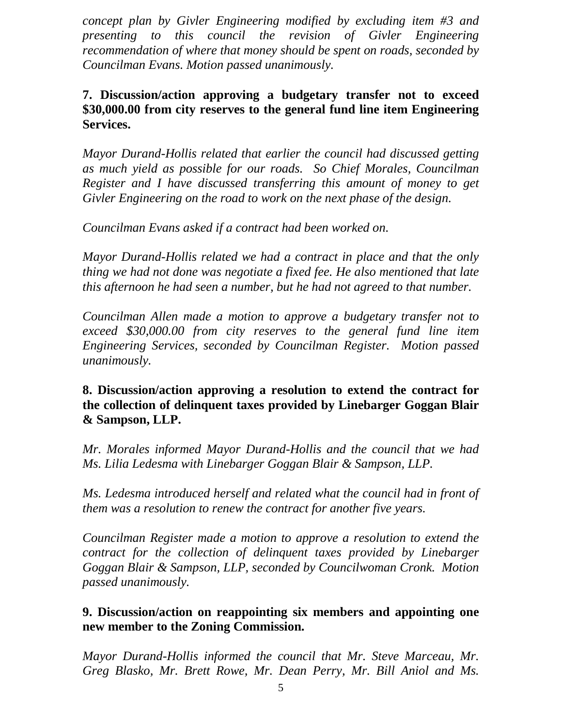*concept plan by Givler Engineering modified by excluding item #3 and presenting to this council the revision of Givler Engineering recommendation of where that money should be spent on roads, seconded by Councilman Evans. Motion passed unanimously.*

### **7. Discussion/action approving a budgetary transfer not to exceed \$30,000.00 from city reserves to the general fund line item Engineering Services.**

*Mayor Durand-Hollis related that earlier the council had discussed getting as much yield as possible for our roads. So Chief Morales, Councilman Register and I have discussed transferring this amount of money to get Givler Engineering on the road to work on the next phase of the design.*

*Councilman Evans asked if a contract had been worked on.*

*Mayor Durand-Hollis related we had a contract in place and that the only thing we had not done was negotiate a fixed fee. He also mentioned that late this afternoon he had seen a number, but he had not agreed to that number.*

*Councilman Allen made a motion to approve a budgetary transfer not to exceed \$30,000.00 from city reserves to the general fund line item Engineering Services, seconded by Councilman Register. Motion passed unanimously.*

**8. Discussion/action approving a resolution to extend the contract for the collection of delinquent taxes provided by Linebarger Goggan Blair & Sampson, LLP.**

*Mr. Morales informed Mayor Durand-Hollis and the council that we had Ms. Lilia Ledesma with Linebarger Goggan Blair & Sampson, LLP.* 

Ms. Ledesma introduced herself and related what the council had in front of *them was a resolution to renew the contract for another five years.*

*Councilman Register made a motion to approve a resolution to extend the contract for the collection of delinquent taxes provided by Linebarger Goggan Blair & Sampson, LLP, seconded by Councilwoman Cronk. Motion passed unanimously.*

### **9. Discussion/action on reappointing six members and appointing one new member to the Zoning Commission.**

*Mayor Durand-Hollis informed the council that Mr. Steve Marceau, Mr. Greg Blasko, Mr. Brett Rowe, Mr. Dean Perry, Mr. Bill Aniol and Ms.*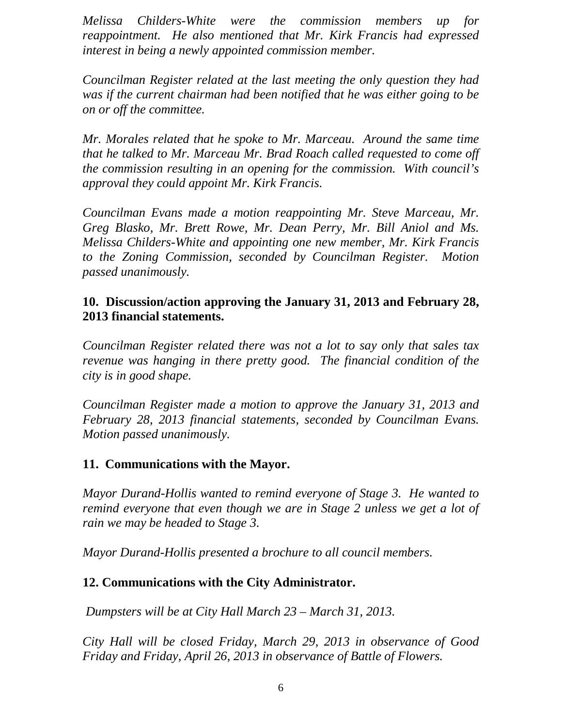*Melissa Childers-White were the commission members up for reappointment. He also mentioned that Mr. Kirk Francis had expressed interest in being a newly appointed commission member.*

*Councilman Register related at the last meeting the only question they had was if the current chairman had been notified that he was either going to be on or off the committee.*

*Mr. Morales related that he spoke to Mr. Marceau. Around the same time that he talked to Mr. Marceau Mr. Brad Roach called requested to come off the commission resulting in an opening for the commission. With council's approval they could appoint Mr. Kirk Francis.*

*Councilman Evans made a motion reappointing Mr. Steve Marceau, Mr. Greg Blasko, Mr. Brett Rowe, Mr. Dean Perry, Mr. Bill Aniol and Ms. Melissa Childers-White and appointing one new member, Mr. Kirk Francis to the Zoning Commission, seconded by Councilman Register. Motion passed unanimously.*

### **10. Discussion/action approving the January 31, 2013 and February 28, 2013 financial statements.**

*Councilman Register related there was not a lot to say only that sales tax revenue was hanging in there pretty good. The financial condition of the city is in good shape.* 

*Councilman Register made a motion to approve the January 31, 2013 and February 28, 2013 financial statements, seconded by Councilman Evans. Motion passed unanimously.*

## **11. Communications with the Mayor.**

*Mayor Durand-Hollis wanted to remind everyone of Stage 3. He wanted to remind everyone that even though we are in Stage 2 unless we get a lot of rain we may be headed to Stage 3.* 

*Mayor Durand-Hollis presented a brochure to all council members.*

## **12. Communications with the City Administrator.**

*Dumpsters will be at City Hall March 23 – March 31, 2013.*

*City Hall will be closed Friday, March 29, 2013 in observance of Good Friday and Friday, April 26, 2013 in observance of Battle of Flowers.*